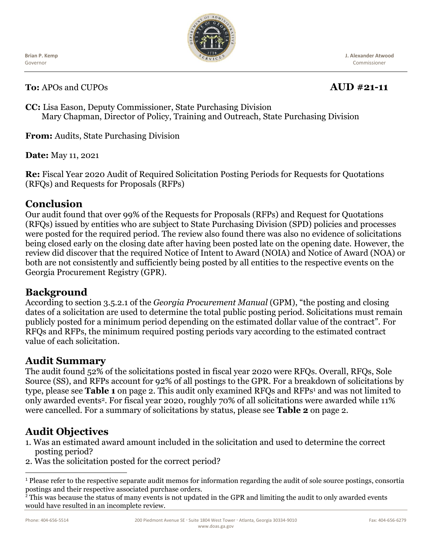**Brian P. Kemp** Governor



**J. Alexander Atwood** Commissioner

**To:** APOs and CUPOs **AUD #21-11**

**CC:** Lisa Eason, Deputy Commissioner, State Purchasing Division Mary Chapman, Director of Policy, Training and Outreach, State Purchasing Division

**From:** Audits, State Purchasing Division

**Date:** May 11, 2021

**Re:** Fiscal Year 2020 Audit of Required Solicitation Posting Periods for Requests for Quotations (RFQs) and Requests for Proposals (RFPs)

### **Conclusion**

Our audit found that over 99% of the Requests for Proposals (RFPs) and Request for Quotations (RFQs) issued by entities who are subject to State Purchasing Division (SPD) policies and processes were posted for the required period. The review also found there was also no evidence of solicitations being closed early on the closing date after having been posted late on the opening date. However, the review did discover that the required Notice of Intent to Award (NOIA) and Notice of Award (NOA) or both are not consistently and sufficiently being posted by all entities to the respective events on the Georgia Procurement Registry (GPR).

# **Background**

According to section 3.5.2.1 of the *Georgia Procurement Manual* (GPM), "the posting and closing dates of a solicitation are used to determine the total public posting period. Solicitations must remain publicly posted for a minimum period depending on the estimated dollar value of the contract". For RFQs and RFPs, the minimum required posting periods vary according to the estimated contract value of each solicitation.

### **Audit Summary**

The audit found 52% of the solicitations posted in fiscal year 2020 were RFQs. Overall, RFQs, Sole Source (SS), and RFPs account for 92% of all postings to the GPR. For a breakdown of solicitations by type, please see **Table 1** on page 2. This audit only examined RFQs and RFPs<sup>1</sup> and was not limited to only awarded events2. For fiscal year 2020, roughly 70% of all solicitations were awarded while 11% were cancelled. For a summary of solicitations by status, please see **Table 2** on page 2.

# **Audit Objectives**

- 1. Was an estimated award amount included in the solicitation and used to determine the correct posting period?
- 2. Was the solicitation posted for the correct period?

<sup>2</sup> This was because the status of many events is not updated in the GPR and limiting the audit to only awarded events would have resulted in an incomplete review.

<sup>1</sup> Please refer to the respective separate audit memos for information regarding the audit of sole source postings, consortia postings and their respective associated purchase orders.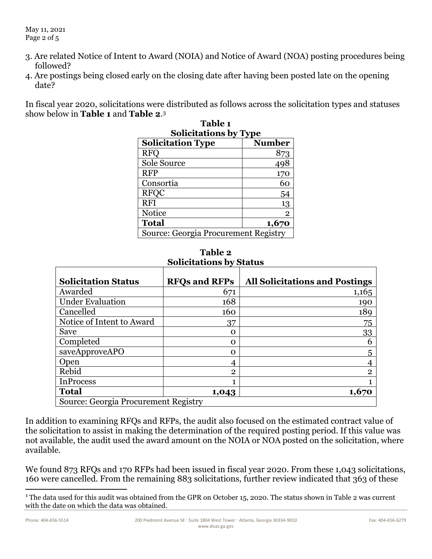- 3. Are related Notice of Intent to Award (NOIA) and Notice of Award (NOA) posting procedures being followed?
- 4. Are postings being closed early on the closing date after having been posted late on the opening date?

In fiscal year 2020, solicitations were distributed as follows across the solicitation types and statuses show below in **Table 1** and **Table 2**. 3 **Table 1** 

| Table 1<br><b>Solicitations by Type</b> |                |  |
|-----------------------------------------|----------------|--|
|                                         |                |  |
| <b>RFO</b>                              | 873            |  |
| Sole Source                             | 498            |  |
| <b>RFP</b>                              | 170            |  |
| Consortia                               | 60             |  |
| <b>RFQC</b>                             | 54             |  |
| <b>RFI</b>                              | 13             |  |
| Notice                                  | $\overline{2}$ |  |
| <b>Total</b>                            | 1,670          |  |
| Source: Georgia Procurement Registry    |                |  |

| Solicitations by Status              |                      |                                       |
|--------------------------------------|----------------------|---------------------------------------|
| <b>Solicitation Status</b>           | <b>RFOs and RFPs</b> | <b>All Solicitations and Postings</b> |
| Awarded                              | 671                  | 1,165                                 |
| <b>Under Evaluation</b>              | 168                  | 190                                   |
| Cancelled                            | 160                  | 189                                   |
| Notice of Intent to Award            | 37                   | 75                                    |
| Save                                 | O                    | 33                                    |
| Completed                            | O                    | 6                                     |
| saveApproveAPO                       | O                    | 5                                     |
| Open                                 | 4                    |                                       |
| Rebid                                | $\overline{2}$       | $\overline{2}$                        |
| <b>InProcess</b>                     |                      |                                       |
| <b>Total</b>                         | 1,043                | 1,670                                 |
| Source: Georgia Procurement Registry |                      |                                       |

**Table 2 Solicitations by Status**

In addition to examining RFQs and RFPs, the audit also focused on the estimated contract value of the solicitation to assist in making the determination of the required posting period. If this value was not available, the audit used the award amount on the NOIA or NOA posted on the solicitation, where available.

We found 873 RFQs and 170 RFPs had been issued in fiscal year 2020. From these 1,043 solicitations, 160 were cancelled. From the remaining 883 solicitations, further review indicated that 363 of these

<sup>&</sup>lt;sup>3</sup> The data used for this audit was obtained from the GPR on October 15, 2020. The status shown in Table 2 was current with the date on which the data was obtained.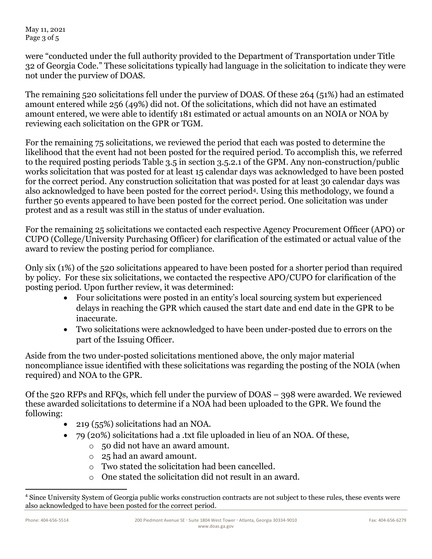May 11, 2021 Page 3 of 5

were "conducted under the full authority provided to the Department of Transportation under Title 32 of Georgia Code." These solicitations typically had language in the solicitation to indicate they were not under the purview of DOAS.

The remaining 520 solicitations fell under the purview of DOAS. Of these 264 (51%) had an estimated amount entered while 256 (49%) did not. Of the solicitations, which did not have an estimated amount entered, we were able to identify 181 estimated or actual amounts on an NOIA or NOA by reviewing each solicitation on the GPR or TGM.

For the remaining 75 solicitations, we reviewed the period that each was posted to determine the likelihood that the event had not been posted for the required period. To accomplish this, we referred to the required posting periods Table 3.5 in section 3.5.2.1 of the GPM. Any non-construction/public works solicitation that was posted for at least 15 calendar days was acknowledged to have been posted for the correct period. Any construction solicitation that was posted for at least 30 calendar days was also acknowledged to have been posted for the correct period4. Using this methodology, we found a further 50 events appeared to have been posted for the correct period. One solicitation was under protest and as a result was still in the status of under evaluation.

For the remaining 25 solicitations we contacted each respective Agency Procurement Officer (APO) or CUPO (College/University Purchasing Officer) for clarification of the estimated or actual value of the award to review the posting period for compliance.

Only six (1%) of the 520 solicitations appeared to have been posted for a shorter period than required by policy. For these six solicitations, we contacted the respective APO/CUPO for clarification of the posting period. Upon further review, it was determined:

- Four solicitations were posted in an entity's local sourcing system but experienced delays in reaching the GPR which caused the start date and end date in the GPR to be inaccurate.
- Two solicitations were acknowledged to have been under-posted due to errors on the part of the Issuing Officer.

Aside from the two under-posted solicitations mentioned above, the only major material noncompliance issue identified with these solicitations was regarding the posting of the NOIA (when required) and NOA to the GPR.

Of the 520 RFPs and RFQs, which fell under the purview of DOAS – 398 were awarded. We reviewed these awarded solicitations to determine if a NOA had been uploaded to the GPR. We found the following:

- 219 (55%) solicitations had an NOA.
- 79 (20%) solicitations had a .txt file uploaded in lieu of an NOA. Of these,
	- o 50 did not have an award amount.
	- o 25 had an award amount.
	- o Two stated the solicitation had been cancelled.
	- o One stated the solicitation did not result in an award.

<sup>4</sup> Since University System of Georgia public works construction contracts are not subject to these rules, these events were also acknowledged to have been posted for the correct period.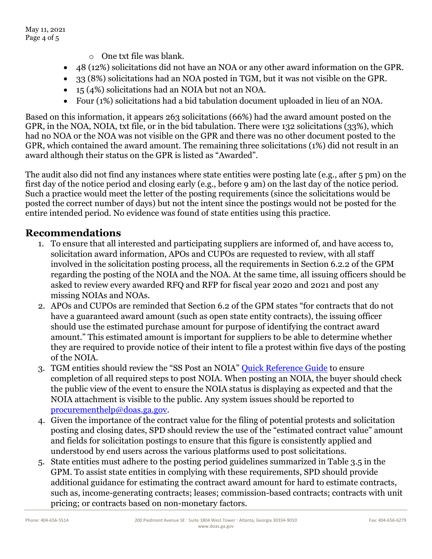- o One txt file was blank.
- 48 (12%) solicitations did not have an NOA or any other award information on the GPR.
- 33 (8%) solicitations had an NOA posted in TGM, but it was not visible on the GPR.
- 15 (4%) solicitations had an NOIA but not an NOA.
- Four (1%) solicitations had a bid tabulation document uploaded in lieu of an NOA.

Based on this information, it appears 263 solicitations (66%) had the award amount posted on the GPR, in the NOA, NOIA, txt file, or in the bid tabulation. There were 132 solicitations (33%), which had no NOA or the NOA was not visible on the GPR and there was no other document posted to the GPR, which contained the award amount. The remaining three solicitations (1%) did not result in an award although their status on the GPR is listed as "Awarded".

The audit also did not find any instances where state entities were posting late (e.g., after 5 pm) on the first day of the notice period and closing early (e.g., before 9 am) on the last day of the notice period. Such a practice would meet the letter of the posting requirements (since the solicitations would be posted the correct number of days) but not the intent since the postings would not be posted for the entire intended period. No evidence was found of state entities using this practice.

## **Recommendations**

- 1. To ensure that all interested and participating suppliers are informed of, and have access to, solicitation award information, APOs and CUPOs are requested to review, with all staff involved in the solicitation posting process, all the requirements in Section 6.2.2 of the GPM regarding the posting of the NOIA and the NOA. At the same time, all issuing officers should be asked to review every awarded RFQ and RFP for fiscal year 2020 and 2021 and post any missing NOIAs and NOAs.
- 2. APOs and CUPOs are reminded that Section 6.2 of the GPM states "for contracts that do not have a guaranteed award amount (such as open state entity contracts), the issuing officer should use the estimated purchase amount for purpose of identifying the contract award amount." This estimated amount is important for suppliers to be able to determine whether they are required to provide notice of their intent to file a protest within five days of the posting of the NOIA.
- 3. TGM entities should review the "SS Post an NOIA" [Quick Reference Guide](https://gcc01.safelinks.protection.outlook.com/?url=http%3A%2F%2Fdoas.ga.gov%2Fassets%2FState%2520Purchasing%2FTGM%2520Documents%2520for%2520State%2520and%2520Local%2FPeopleSoft%2520Quick%2520Reference%2520Guide%2520List.pdf&data=04%7C01%7Cgerald.schaefer%40doas.ga.gov%7C7cfdb77074cf4594c64b08d880013116%7C512da10d071b4b948abc9ec4044d1516%7C0%7C0%7C637400089888956288%7CUnknown%7CTWFpbGZsb3d8eyJWIjoiMC4wLjAwMDAiLCJQIjoiV2luMzIiLCJBTiI6Ik1haWwiLCJXVCI6Mn0%3D%7C1000&sdata=bTkubWIW1kMkseG3VztRNetMJnQgeGEBOwK8neXN91M%3D&reserved=0) to ensure completion of all required steps to post NOIA. When posting an NOIA, the buyer should check the public view of the event to ensure the NOIA status is displaying as expected and that the NOIA attachment is visible to the public. Any system issues should be reported to [procurementhelp@doas.ga.gov.](mailto:procurementhelp@doas.ga.gov)
- 4. Given the importance of the contract value for the filing of potential protests and solicitation posting and closing dates, SPD should review the use of the "estimated contract value" amount and fields for solicitation postings to ensure that this figure is consistently applied and understood by end users across the various platforms used to post solicitations.
- 5. State entities must adhere to the posting period guidelines summarized in Table 3.5 in the GPM. To assist state entities in complying with these requirements, SPD should provide additional guidance for estimating the contract award amount for hard to estimate contracts, such as, income-generating contracts; leases; commission-based contracts; contracts with unit pricing; or contracts based on non-monetary factors.